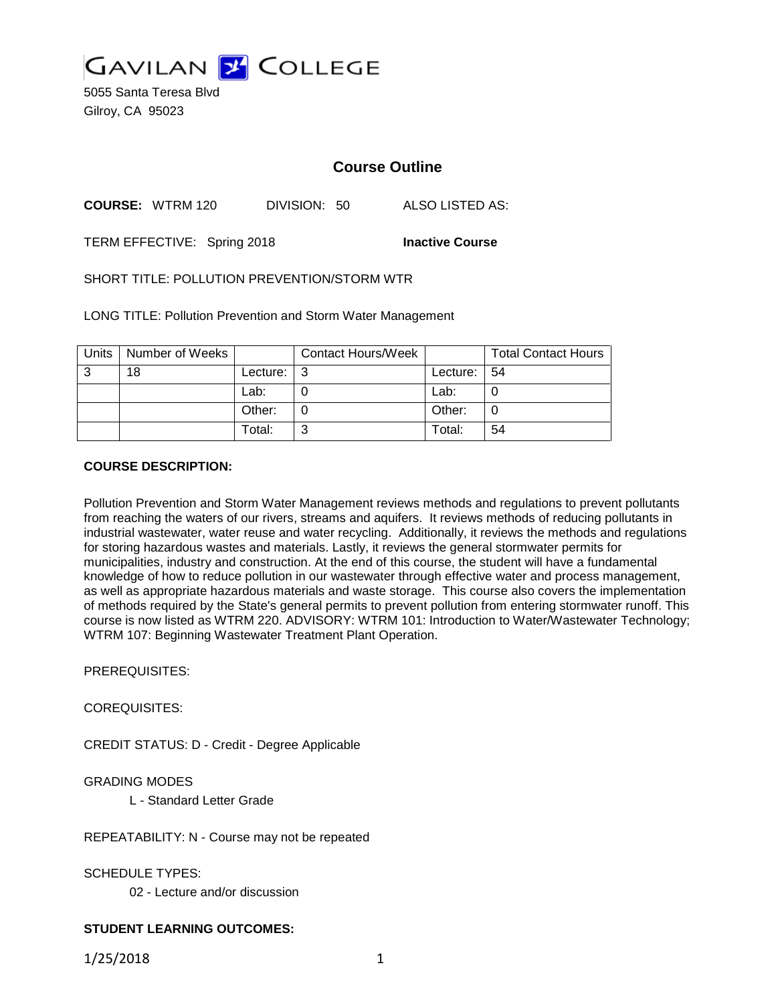

5055 Santa Teresa Blvd Gilroy, CA 95023

# **Course Outline**

**COURSE:** WTRM 120 DIVISION: 50 ALSO LISTED AS:

TERM EFFECTIVE: Spring 2018 **Inactive Course**

SHORT TITLE: POLLUTION PREVENTION/STORM WTR

LONG TITLE: Pollution Prevention and Storm Water Management

| <b>Units</b> | Number of Weeks |          | <b>Contact Hours/Week</b> |                 | <b>Total Contact Hours</b> |
|--------------|-----------------|----------|---------------------------|-----------------|----------------------------|
| ົ            | 18              | Lecture: | l 3                       | Lecture: $ 54 $ |                            |
|              |                 | Lab:     |                           | Lab:            |                            |
|              |                 | Other:   |                           | Other:          |                            |
|              |                 | Total:   | ⌒                         | Total:          | 54                         |

#### **COURSE DESCRIPTION:**

Pollution Prevention and Storm Water Management reviews methods and regulations to prevent pollutants from reaching the waters of our rivers, streams and aquifers. It reviews methods of reducing pollutants in industrial wastewater, water reuse and water recycling. Additionally, it reviews the methods and regulations for storing hazardous wastes and materials. Lastly, it reviews the general stormwater permits for municipalities, industry and construction. At the end of this course, the student will have a fundamental knowledge of how to reduce pollution in our wastewater through effective water and process management, as well as appropriate hazardous materials and waste storage. This course also covers the implementation of methods required by the State's general permits to prevent pollution from entering stormwater runoff. This course is now listed as WTRM 220. ADVISORY: WTRM 101: Introduction to Water/Wastewater Technology; WTRM 107: Beginning Wastewater Treatment Plant Operation.

PREREQUISITES:

COREQUISITES:

CREDIT STATUS: D - Credit - Degree Applicable

### GRADING MODES

L - Standard Letter Grade

REPEATABILITY: N - Course may not be repeated

SCHEDULE TYPES:

02 - Lecture and/or discussion

### **STUDENT LEARNING OUTCOMES:**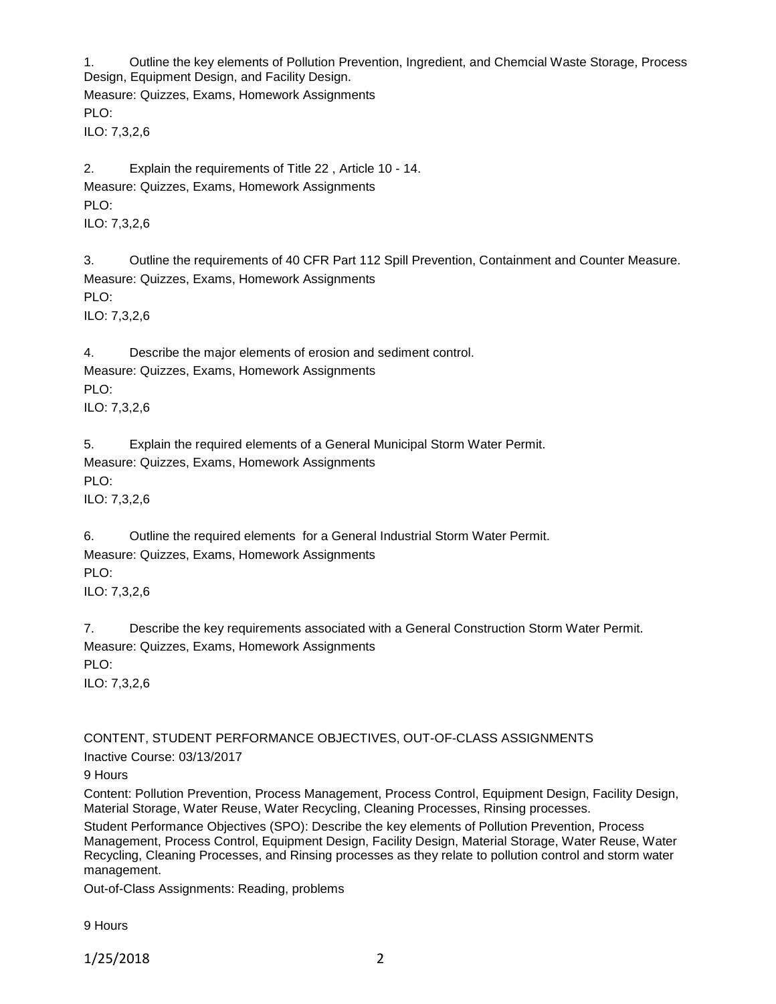1. Outline the key elements of Pollution Prevention, Ingredient, and Chemcial Waste Storage, Process Design, Equipment Design, and Facility Design.

Measure: Quizzes, Exams, Homework Assignments PLO:

ILO: 7,3,2,6

2. Explain the requirements of Title 22 , Article 10 - 14. Measure: Quizzes, Exams, Homework Assignments PLO: ILO: 7,3,2,6

3. Outline the requirements of 40 CFR Part 112 Spill Prevention, Containment and Counter Measure. Measure: Quizzes, Exams, Homework Assignments PLO: ILO: 7,3,2,6

4. Describe the major elements of erosion and sediment control. Measure: Quizzes, Exams, Homework Assignments PLO: ILO: 7,3,2,6

5. Explain the required elements of a General Municipal Storm Water Permit. Measure: Quizzes, Exams, Homework Assignments PLO: ILO: 7,3,2,6

6. Outline the required elements for a General Industrial Storm Water Permit. Measure: Quizzes, Exams, Homework Assignments PLO: ILO: 7,3,2,6

7. Describe the key requirements associated with a General Construction Storm Water Permit. Measure: Quizzes, Exams, Homework Assignments PLO: ILO: 7,3,2,6

CONTENT, STUDENT PERFORMANCE OBJECTIVES, OUT-OF-CLASS ASSIGNMENTS

Inactive Course: 03/13/2017

9 Hours

Content: Pollution Prevention, Process Management, Process Control, Equipment Design, Facility Design, Material Storage, Water Reuse, Water Recycling, Cleaning Processes, Rinsing processes.

Student Performance Objectives (SPO): Describe the key elements of Pollution Prevention, Process Management, Process Control, Equipment Design, Facility Design, Material Storage, Water Reuse, Water Recycling, Cleaning Processes, and Rinsing processes as they relate to pollution control and storm water management.

Out-of-Class Assignments: Reading, problems

9 Hours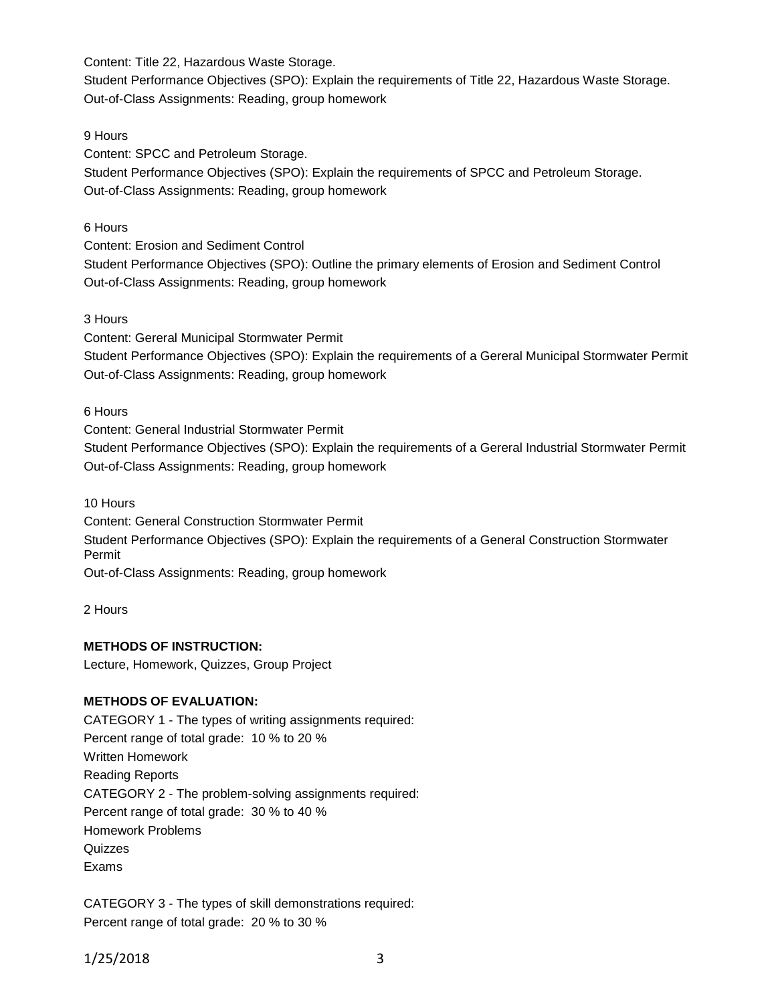Content: Title 22, Hazardous Waste Storage.

Student Performance Objectives (SPO): Explain the requirements of Title 22, Hazardous Waste Storage. Out-of-Class Assignments: Reading, group homework

### 9 Hours

Content: SPCC and Petroleum Storage.

Student Performance Objectives (SPO): Explain the requirements of SPCC and Petroleum Storage. Out-of-Class Assignments: Reading, group homework

### 6 Hours

Content: Erosion and Sediment Control

Student Performance Objectives (SPO): Outline the primary elements of Erosion and Sediment Control Out-of-Class Assignments: Reading, group homework

### 3 Hours

Content: Gereral Municipal Stormwater Permit

Student Performance Objectives (SPO): Explain the requirements of a Gereral Municipal Stormwater Permit Out-of-Class Assignments: Reading, group homework

6 Hours

Content: General Industrial Stormwater Permit

Student Performance Objectives (SPO): Explain the requirements of a Gereral Industrial Stormwater Permit Out-of-Class Assignments: Reading, group homework

10 Hours

Content: General Construction Stormwater Permit

Student Performance Objectives (SPO): Explain the requirements of a General Construction Stormwater Permit

Out-of-Class Assignments: Reading, group homework

2 Hours

# **METHODS OF INSTRUCTION:**

Lecture, Homework, Quizzes, Group Project

# **METHODS OF EVALUATION:**

CATEGORY 1 - The types of writing assignments required: Percent range of total grade: 10 % to 20 % Written Homework Reading Reports CATEGORY 2 - The problem-solving assignments required: Percent range of total grade: 30 % to 40 % Homework Problems **Quizzes** Exams

CATEGORY 3 - The types of skill demonstrations required: Percent range of total grade: 20 % to 30 %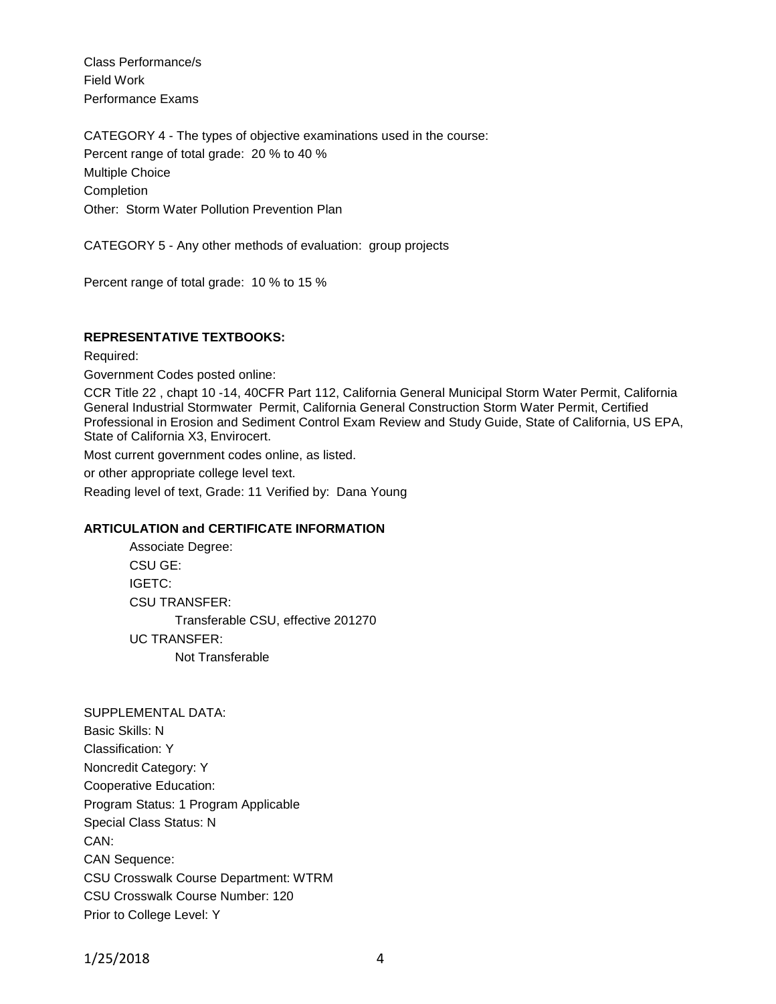Class Performance/s Field Work Performance Exams

CATEGORY 4 - The types of objective examinations used in the course: Percent range of total grade: 20 % to 40 % Multiple Choice **Completion** Other: Storm Water Pollution Prevention Plan

CATEGORY 5 - Any other methods of evaluation: group projects

Percent range of total grade: 10 % to 15 %

### **REPRESENTATIVE TEXTBOOKS:**

Required:

Government Codes posted online:

CCR Title 22 , chapt 10 -14, 40CFR Part 112, California General Municipal Storm Water Permit, California General Industrial Stormwater Permit, California General Construction Storm Water Permit, Certified Professional in Erosion and Sediment Control Exam Review and Study Guide, State of California, US EPA, State of California X3, Envirocert.

Most current government codes online, as listed.

or other appropriate college level text.

Reading level of text, Grade: 11 Verified by: Dana Young

#### **ARTICULATION and CERTIFICATE INFORMATION**

Associate Degree: CSU GE: IGETC: CSU TRANSFER: Transferable CSU, effective 201270 UC TRANSFER: Not Transferable

SUPPLEMENTAL DATA: Basic Skills: N Classification: Y Noncredit Category: Y Cooperative Education: Program Status: 1 Program Applicable Special Class Status: N CAN: CAN Sequence: CSU Crosswalk Course Department: WTRM CSU Crosswalk Course Number: 120 Prior to College Level: Y